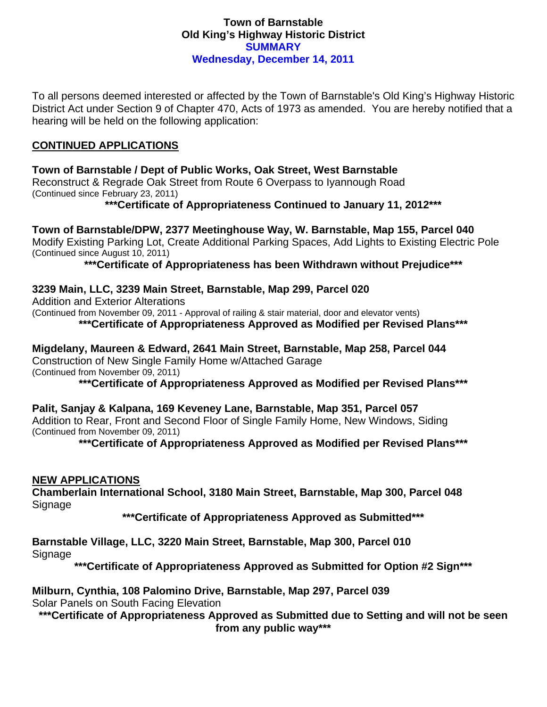## **Town of Barnstable Old King's Highway Historic District SUMMARY Wednesday, December 14, 2011**

To all persons deemed interested or affected by the Town of Barnstable's Old King's Highway Historic District Act under Section 9 of Chapter 470, Acts of 1973 as amended. You are hereby notified that a hearing will be held on the following application:

## **CONTINUED APPLICATIONS**

## **Town of Barnstable / Dept of Public Works, Oak Street, West Barnstable**

Reconstruct & Regrade Oak Street from Route 6 Overpass to Iyannough Road (Continued since February 23, 2011)

**\*\*\*Certificate of Appropriateness Continued to January 11, 2012\*\*\*** 

**Town of Barnstable/DPW, 2377 Meetinghouse Way, W. Barnstable, Map 155, Parcel 040**  Modify Existing Parking Lot, Create Additional Parking Spaces, Add Lights to Existing Electric Pole (Continued since August 10, 2011)

**\*\*\*Certificate of Appropriateness has been Withdrawn without Prejudice\*\*\*** 

**3239 Main, LLC, 3239 Main Street, Barnstable, Map 299, Parcel 020** 

Addition and Exterior Alterations

(Continued from November 09, 2011 - Approval of railing & stair material, door and elevator vents)

**\*\*\*Certificate of Appropriateness Approved as Modified per Revised Plans\*\*\*** 

**Migdelany, Maureen & Edward, 2641 Main Street, Barnstable, Map 258, Parcel 044**  Construction of New Single Family Home w/Attached Garage (Continued from November 09, 2011)

**\*\*\*Certificate of Appropriateness Approved as Modified per Revised Plans\*\*\*** 

**Palit, Sanjay & Kalpana, 169 Keveney Lane, Barnstable, Map 351, Parcel 057**  Addition to Rear, Front and Second Floor of Single Family Home, New Windows, Siding (Continued from November 09, 2011)

**\*\*\*Certificate of Appropriateness Approved as Modified per Revised Plans\*\*\*** 

## **NEW APPLICATIONS**

**Chamberlain International School, 3180 Main Street, Barnstable, Map 300, Parcel 048**  Signage

**\*\*\*Certificate of Appropriateness Approved as Submitted\*\*\*** 

**Barnstable Village, LLC, 3220 Main Street, Barnstable, Map 300, Parcel 010**  Signage

**\*\*\*Certificate of Appropriateness Approved as Submitted for Option #2 Sign\*\*\*** 

**Milburn, Cynthia, 108 Palomino Drive, Barnstable, Map 297, Parcel 039**  Solar Panels on South Facing Elevation

**\*\*\*Certificate of Appropriateness Approved as Submitted due to Setting and will not be seen from any public way\*\*\***